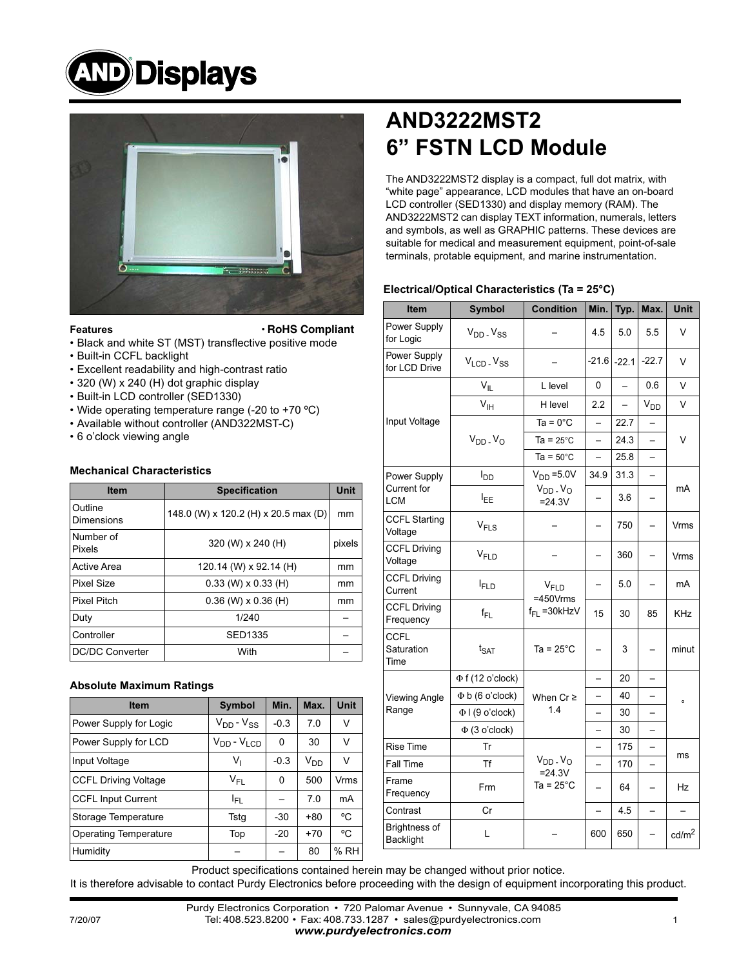



#### **Features**

**• RoHS Compliant**

- Black and white ST (MST) transflective positive mode
- Built-in CCFL backlight
- Excellent readability and high-contrast ratio
- 320 (W) x 240 (H) dot graphic display
- Built-in LCD controller (SED1330)
- Wide operating temperature range (-20 to +70 ºC)
- Available without controller (AND322MST-C)
- 6 o'clock viewing angle

#### **Mechanical Characteristics**

| <b>Item</b>            | <b>Specification</b>                 | <b>Unit</b> |
|------------------------|--------------------------------------|-------------|
| Outline<br>Dimensions  | 148.0 (W) x 120.2 (H) x 20.5 max (D) | mm          |
| Number of<br>Pixels    | 320 (W) x 240 (H)                    | pixels      |
| <b>Active Area</b>     | 120.14 (W) x 92.14 (H)               | mm          |
| Pixel Size             | $0.33$ (W) x $0.33$ (H)              | mm          |
| <b>Pixel Pitch</b>     | $0.36$ (W) $\times$ 0.36 (H)         | mm          |
| Duty                   | 1/240                                |             |
| Controller             | <b>SED1335</b>                       |             |
| <b>DC/DC Converter</b> | With                                 |             |

#### **Absolute Maximum Ratings**

| <b>Item</b>                  | <b>Symbol</b>      | Min.   | Max.            | Unit |
|------------------------------|--------------------|--------|-----------------|------|
| Power Supply for Logic       | $V_{DD} - V_{SS}$  | $-0.3$ | 7.0             | ٧    |
| Power Supply for LCD         | $V_{DD} - V_{LOD}$ | 0      | 30              | v    |
| Input Voltage                | V,                 | $-0.3$ | V <sub>DD</sub> | v    |
| <b>CCFL Driving Voltage</b>  | V <sub>FI</sub>    | 0      | 500             | Vrms |
| <b>CCFL Input Current</b>    | I <sub>FL</sub>    |        | 7.0             | mA   |
| Storage Temperature          | Tstg               | $-30$  | $+80$           | °C   |
| <b>Operating Temperature</b> | Top                | $-20$  | $+70$           | °C   |
| Humidity                     |                    |        | 80              | % RH |

# **AND3222MST2 6" FSTN LCD Module**

The AND3222MST2 display is a compact, full dot matrix, with "white page" appearance, LCD modules that have an on-board LCD controller (SED1330) and display memory (RAM). The AND3222MST2 can display TEXT information, numerals, letters and symbols, as well as GRAPHIC patterns. These devices are suitable for medical and measurement equipment, point-of-sale terminals, protable equipment, and marine instrumentation.

#### **Electrical/Optical Characteristics (Ta = 25°C)**

| Item                              | <b>Symbol</b>                      | <b>Condition</b>                | Min.                     | Typ.                     | Max.                     | Unit              |  |
|-----------------------------------|------------------------------------|---------------------------------|--------------------------|--------------------------|--------------------------|-------------------|--|
| Power Supply<br>for Logic         | $V_{DD}$ . $V_{SS}$                |                                 | 4.5                      | 5.0                      | 5.5                      | V                 |  |
| Power Supply<br>for LCD Drive     | V <sub>LCD</sub> . V <sub>SS</sub> |                                 |                          | $-21.6$ $-22.1$          | $-22.7$                  | V                 |  |
|                                   | $V_{ L}$                           | L level                         | 0                        |                          | 0.6                      | V                 |  |
|                                   | $V_{\text{IH}}$                    | H level                         | 2.2                      | $\overline{\phantom{0}}$ | $V_{DD}$                 | V                 |  |
| Input Voltage                     |                                    | $Ta = 0^{\circ}C$               |                          | 22.7                     |                          | V                 |  |
|                                   | $V_{DD}$ . $V_{O}$                 | $Ta = 25^{\circ}C$              | $\overline{\phantom{0}}$ | 24.3                     | $\overline{\phantom{0}}$ |                   |  |
|                                   |                                    | $Ta = 50^{\circ}C$              |                          | 25.8                     | $\overline{\phantom{0}}$ |                   |  |
| Power Supply                      | l <sub>DD</sub>                    | $VDD = 5.0V$                    | 34.9                     | 31.3                     |                          |                   |  |
| Current for<br><b>LCM</b>         | l <sub>EE</sub>                    | $V_{DD}$ . $V_{O}$<br>$= 24.3V$ | $\overline{\phantom{0}}$ | 3.6                      | $\overline{\phantom{0}}$ | mA                |  |
| <b>CCFL Starting</b><br>Voltage   | $V_{FLS}$                          |                                 |                          | 750                      | $\qquad \qquad -$        | Vrms              |  |
| <b>CCFL Driving</b><br>Voltage    | V <sub>FLD</sub>                   |                                 |                          | 360                      | $\overline{\phantom{0}}$ | Vrms              |  |
| <b>CCFL Driving</b><br>Current    | <b>IFLD</b>                        | $V_{FID}$<br>$=450V$ rms        |                          | 5.0                      | $\overline{\phantom{0}}$ | mA                |  |
| <b>CCFL Driving</b><br>Frequency  | $f_{FL}$                           | $f_{FL}$ = 30 kHzV              | 15                       | 30                       | 85                       | KHz               |  |
| <b>CCFL</b><br>Saturation<br>Time | $t_{\text{SAT}}$                   | Ta = $25^{\circ}$ C             | $\overline{\phantom{0}}$ | 3                        | $\overline{\phantom{0}}$ | minut             |  |
|                                   | $\Phi$ f (12 o'clock)              |                                 | $\overline{\phantom{0}}$ | 20                       |                          | $\circ$           |  |
| <b>Viewing Angle</b>              | $\Phi$ b (6 o'clock)               | When $Cr \geq$<br>1.4           |                          | 40                       |                          |                   |  |
| Range                             | $\Phi$   (9 o'clock)               |                                 |                          | 30                       | $\overline{\phantom{0}}$ |                   |  |
|                                   | $\Phi$ (3 o'clock)                 |                                 | $\overline{\phantom{0}}$ | 30                       | $\overline{a}$           |                   |  |
| Rise Time                         | Tr                                 |                                 |                          | 175                      |                          | ms                |  |
| Fall Time                         | Tf                                 | $V_{DD}$ . $V_{O}$<br>$= 24.3V$ | $\overline{\phantom{0}}$ | 170                      | $\overline{\phantom{0}}$ |                   |  |
| Frame<br>Frequency                | <b>Frm</b>                         | Ta = $25^{\circ}$ C             |                          | 64                       |                          | Hz                |  |
| Contrast                          | Cr                                 |                                 | $\qquad \qquad -$        | 4.5                      | $\qquad \qquad -$        |                   |  |
| Brightness of<br><b>Backlight</b> | L                                  |                                 | 600                      | 650                      | $\overline{\phantom{0}}$ | cd/m <sup>2</sup> |  |

Product specifications contained herein may be changed without prior notice.

It is therefore advisable to contact Purdy Electronics before proceeding with the design of equipment incorporating this product.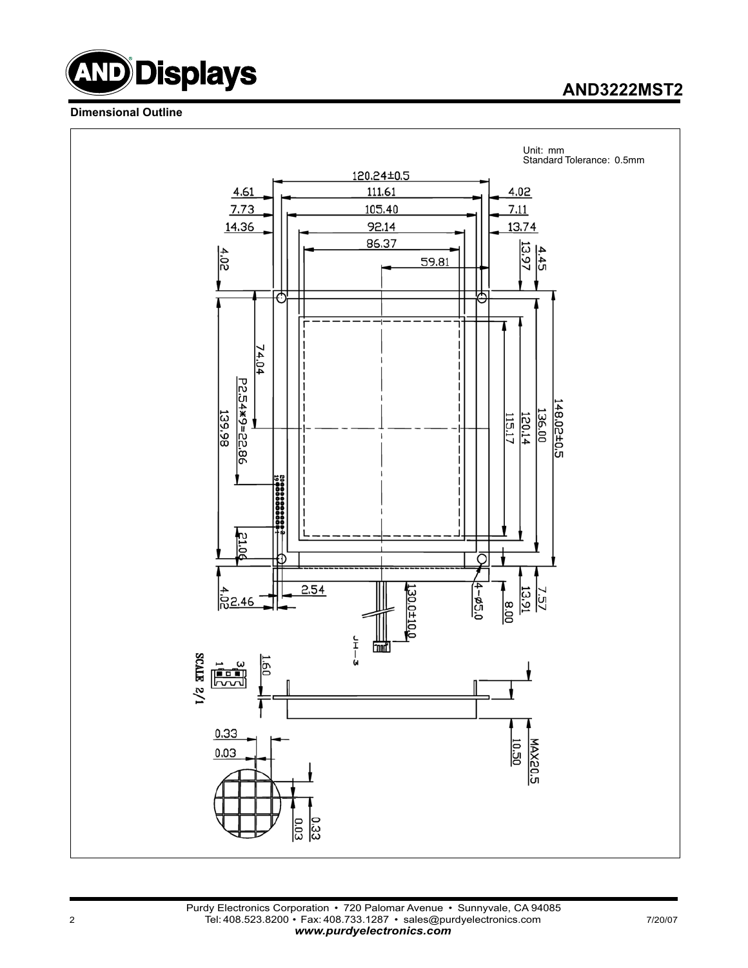

### **AND3222MST2**

#### **Dimensional Outline**

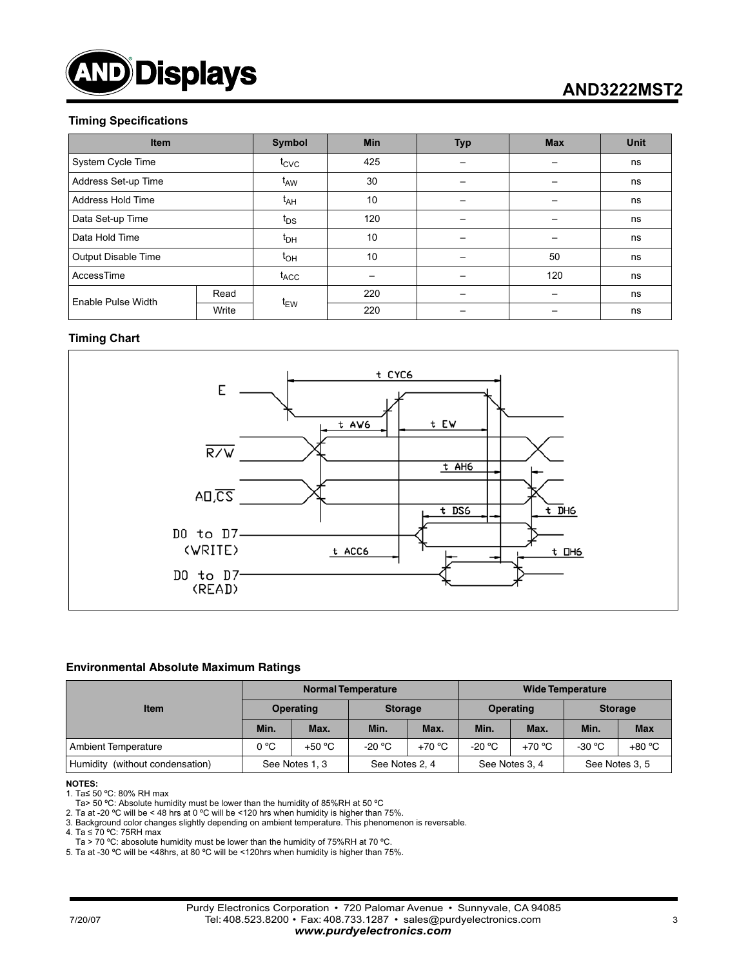

## **AND3222MST2**

#### **Timing Specifications**

| <b>Item</b>                |       | Symbol           | <b>Min</b> | <b>Typ</b> | <b>Max</b> | <b>Unit</b> |
|----------------------------|-------|------------------|------------|------------|------------|-------------|
| System Cycle Time          |       | $t_{\text{CVC}}$ | 425        |            |            | ns          |
| Address Set-up Time        |       | t <sub>AW</sub>  | 30         |            |            | ns          |
| Address Hold Time          |       | t <sub>AH</sub>  | 10         |            |            | ns          |
| Data Set-up Time           |       | $t_{DS}$         | 120        |            |            |             |
| Data Hold Time             |       | $t_{DH}$         | 10         |            |            | ns          |
| <b>Output Disable Time</b> |       |                  | 10         |            | 50         | ns          |
| AccessTime                 |       | $t_{ACC}$        |            |            | 120        | ns          |
| Enable Pulse Width         | Read  |                  | 220        |            |            | ns          |
|                            | Write | t <sub>EW</sub>  | 220        |            |            | ns          |

#### **Timing Chart**



#### **Environmental Absolute Maximum Ratings**

|                                 | <b>Normal Temperature</b> |                |                 |          | <b>Wide Temperature</b> |                |                |                |
|---------------------------------|---------------------------|----------------|-----------------|----------|-------------------------|----------------|----------------|----------------|
| <b>Item</b>                     | Operating                 |                | <b>Storage</b>  |          | <b>Operating</b>        |                | <b>Storage</b> |                |
|                                 | Min.                      | Max.           | Min.            | Max.     | Min.                    | Max.           | Min.           | <b>Max</b>     |
| <b>Ambient Temperature</b>      | $0^{\circ}$ C             | $+50 °C$       | -20 $\degree$ C | $+70 °C$ | -20 °C                  | $+70 °C$       | $-30 °C$       | +80 °C         |
| Humidity (without condensation) |                           | See Notes 1, 3 | See Notes 2, 4  |          |                         | See Notes 3, 4 |                | See Notes 3, 5 |

#### **NOTES:**

1. Ta≤ 50 ºC: 80% RH max

Ta> 50 °C: Absolute humidity must be lower than the humidity of 85%RH at 50 °C

2. Ta at -20 ºC will be < 48 hrs at 0 ºC will be <120 hrs when humidity is higher than 75%.

3. Background color changes slightly depending on ambient temperature. This phenomenon is reversable.

4. Ta ≤ 70 ºC: 75RH max

Ta > 70 °C: abosolute humidity must be lower than the humidity of 75%RH at 70 °C.

5. Ta at -30 ºC will be <48hrs, at 80 ºC will be <120hrs when humidity is higher than 75%.